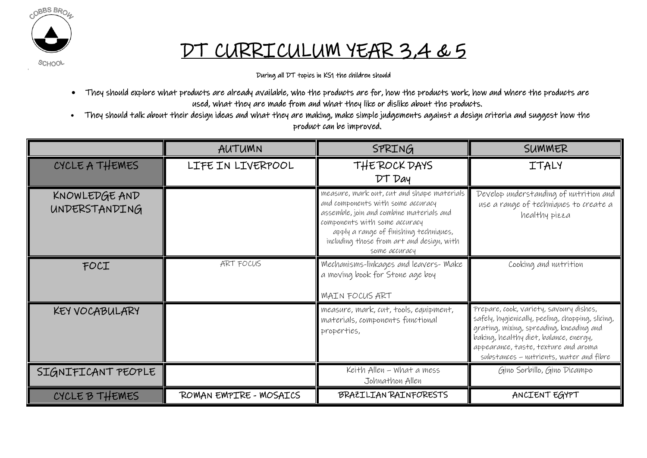

## DT CURRICULUM YEAR 3,4 & 5

**SCHOOL** 

During all DT topics in KS1 the children should

- They should explore what products are already available, who the products are for, how the products work, how and where the products are used, what they are made from and what they like or dislike about the products.
- They should talk about their design ideas and what they are making, make simple judgements against a design criteria and suggest how the product can be improved.

|                                | AUTUMN                 | SPRING                                                                                                                                                                                                                                                               | SUMMER                                                                                                                                                                                                                                                                |
|--------------------------------|------------------------|----------------------------------------------------------------------------------------------------------------------------------------------------------------------------------------------------------------------------------------------------------------------|-----------------------------------------------------------------------------------------------------------------------------------------------------------------------------------------------------------------------------------------------------------------------|
| CYCLE A THEMES                 | LIFE IN LIVERPOOL      | THE ROCK DAYS<br>DT Day                                                                                                                                                                                                                                              | <b>ITALY</b>                                                                                                                                                                                                                                                          |
| KNOWLEDGE AND<br>UNDERSTANDING |                        | measure, mark out, cut and shape materials<br>and components with some accuracy<br>assemble, join and combine materials and<br>components with some accuracy<br>apply a range of finishing techniques,<br>including those from art and design, with<br>some accuracy | Develop understanding of nutrition and<br>use a range of techniques to create a<br>healthy pieza                                                                                                                                                                      |
| FOCI                           | ART FOCUS              | Mechanisms-linkages and leavers- Make<br>a moving book for Stone age boy<br><b>MAIN FOCUS ART</b>                                                                                                                                                                    | Cooking and nutrition                                                                                                                                                                                                                                                 |
| KEY VOCABULARY                 |                        | measure, mark, cut, tools, equipment,<br>materials, components functional<br>properties,                                                                                                                                                                             | Prepare, cook, variety, savoury dishes,<br>safely, hygienically, peeling, chopping, slicing,<br>grating, mixing, spreading, kneading and<br>baking, healthy diet, balance, energy,<br>appearance, taste, texture and aroma<br>substances – nutrients, water and fibre |
| SIGNIFICANT PEOPLE             |                        | Keith Allen - What a mess<br>Johnathon Allen                                                                                                                                                                                                                         | Gino Sorbillo, Gino Dicampo                                                                                                                                                                                                                                           |
| CYCLE B THEMES                 | ROMAN EMPIRE - MOSAICS | <b>BRAZILIAN RAINFORESTS</b>                                                                                                                                                                                                                                         | ANCIENT EGYPT                                                                                                                                                                                                                                                         |